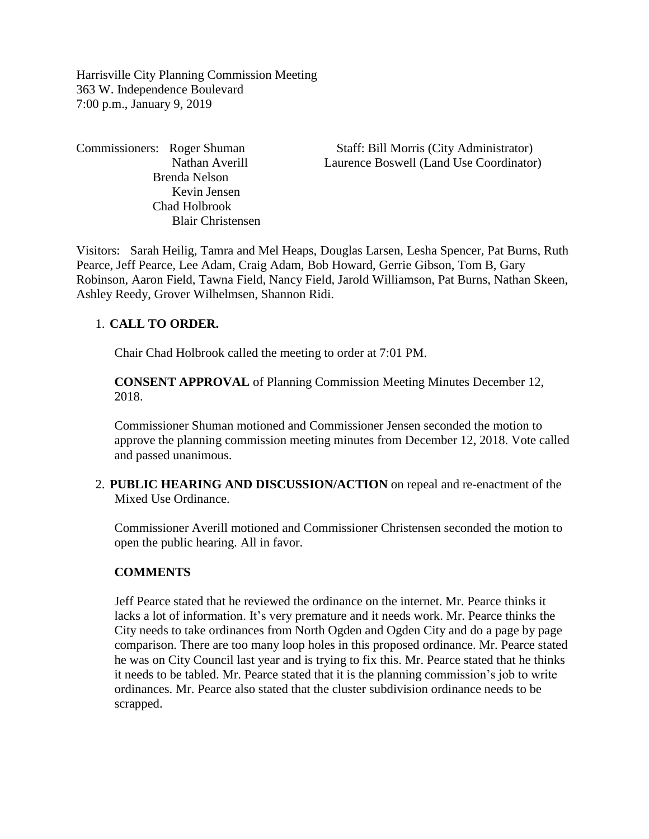Harrisville City Planning Commission Meeting 363 W. Independence Boulevard 7:00 p.m., January 9, 2019

 Brenda Nelson Kevin Jensen Chad Holbrook Blair Christensen

Commissioners: Roger Shuman Staff: Bill Morris (City Administrator) Nathan Averill Laurence Boswell (Land Use Coordinator)

Visitors: Sarah Heilig, Tamra and Mel Heaps, Douglas Larsen, Lesha Spencer, Pat Burns, Ruth Pearce, Jeff Pearce, Lee Adam, Craig Adam, Bob Howard, Gerrie Gibson, Tom B, Gary Robinson, Aaron Field, Tawna Field, Nancy Field, Jarold Williamson, Pat Burns, Nathan Skeen, Ashley Reedy, Grover Wilhelmsen, Shannon Ridi.

## 1. **CALL TO ORDER.**

Chair Chad Holbrook called the meeting to order at 7:01 PM.

**CONSENT APPROVAL** of Planning Commission Meeting Minutes December 12, 2018.

Commissioner Shuman motioned and Commissioner Jensen seconded the motion to approve the planning commission meeting minutes from December 12, 2018. Vote called and passed unanimous.

2. **PUBLIC HEARING AND DISCUSSION/ACTION** on repeal and re-enactment of the Mixed Use Ordinance.

Commissioner Averill motioned and Commissioner Christensen seconded the motion to open the public hearing. All in favor.

### **COMMENTS**

Jeff Pearce stated that he reviewed the ordinance on the internet. Mr. Pearce thinks it lacks a lot of information. It's very premature and it needs work. Mr. Pearce thinks the City needs to take ordinances from North Ogden and Ogden City and do a page by page comparison. There are too many loop holes in this proposed ordinance. Mr. Pearce stated he was on City Council last year and is trying to fix this. Mr. Pearce stated that he thinks it needs to be tabled. Mr. Pearce stated that it is the planning commission's job to write ordinances. Mr. Pearce also stated that the cluster subdivision ordinance needs to be scrapped.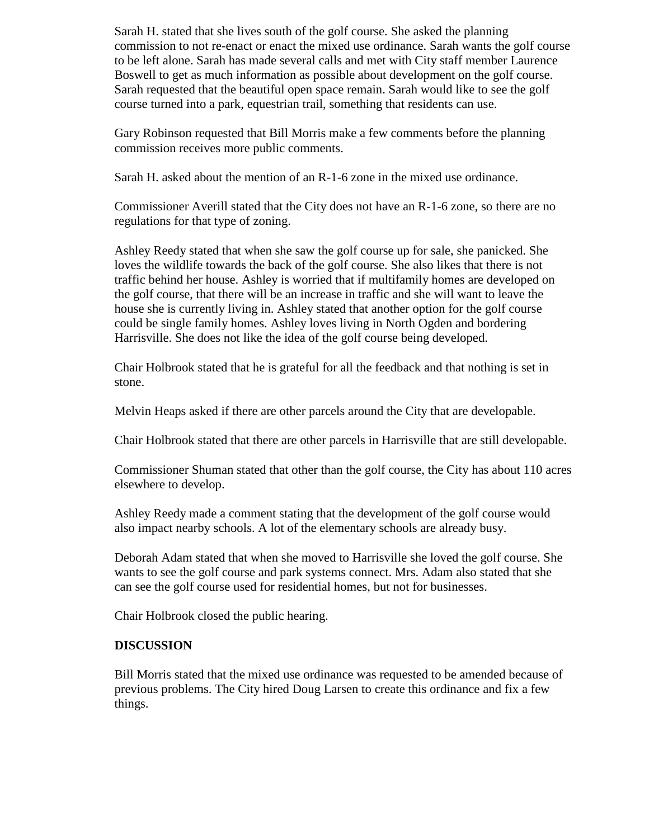Sarah H. stated that she lives south of the golf course. She asked the planning commission to not re-enact or enact the mixed use ordinance. Sarah wants the golf course to be left alone. Sarah has made several calls and met with City staff member Laurence Boswell to get as much information as possible about development on the golf course. Sarah requested that the beautiful open space remain. Sarah would like to see the golf course turned into a park, equestrian trail, something that residents can use.

Gary Robinson requested that Bill Morris make a few comments before the planning commission receives more public comments.

Sarah H. asked about the mention of an R-1-6 zone in the mixed use ordinance.

Commissioner Averill stated that the City does not have an R-1-6 zone, so there are no regulations for that type of zoning.

Ashley Reedy stated that when she saw the golf course up for sale, she panicked. She loves the wildlife towards the back of the golf course. She also likes that there is not traffic behind her house. Ashley is worried that if multifamily homes are developed on the golf course, that there will be an increase in traffic and she will want to leave the house she is currently living in. Ashley stated that another option for the golf course could be single family homes. Ashley loves living in North Ogden and bordering Harrisville. She does not like the idea of the golf course being developed.

Chair Holbrook stated that he is grateful for all the feedback and that nothing is set in stone.

Melvin Heaps asked if there are other parcels around the City that are developable.

Chair Holbrook stated that there are other parcels in Harrisville that are still developable.

Commissioner Shuman stated that other than the golf course, the City has about 110 acres elsewhere to develop.

Ashley Reedy made a comment stating that the development of the golf course would also impact nearby schools. A lot of the elementary schools are already busy.

Deborah Adam stated that when she moved to Harrisville she loved the golf course. She wants to see the golf course and park systems connect. Mrs. Adam also stated that she can see the golf course used for residential homes, but not for businesses.

Chair Holbrook closed the public hearing.

## **DISCUSSION**

Bill Morris stated that the mixed use ordinance was requested to be amended because of previous problems. The City hired Doug Larsen to create this ordinance and fix a few things.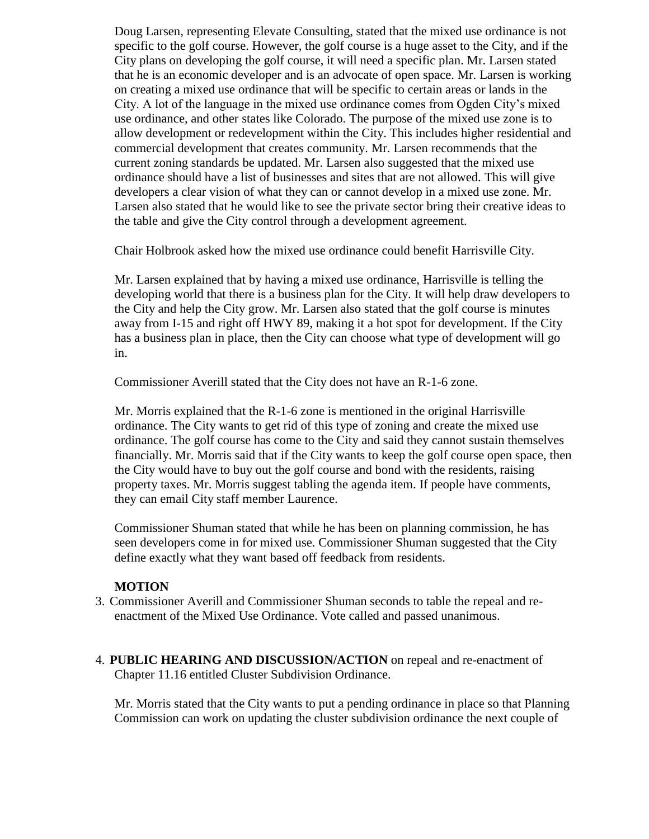Doug Larsen, representing Elevate Consulting, stated that the mixed use ordinance is not specific to the golf course. However, the golf course is a huge asset to the City, and if the City plans on developing the golf course, it will need a specific plan. Mr. Larsen stated that he is an economic developer and is an advocate of open space. Mr. Larsen is working on creating a mixed use ordinance that will be specific to certain areas or lands in the City. A lot of the language in the mixed use ordinance comes from Ogden City's mixed use ordinance, and other states like Colorado. The purpose of the mixed use zone is to allow development or redevelopment within the City. This includes higher residential and commercial development that creates community. Mr. Larsen recommends that the current zoning standards be updated. Mr. Larsen also suggested that the mixed use ordinance should have a list of businesses and sites that are not allowed. This will give developers a clear vision of what they can or cannot develop in a mixed use zone. Mr. Larsen also stated that he would like to see the private sector bring their creative ideas to the table and give the City control through a development agreement.

Chair Holbrook asked how the mixed use ordinance could benefit Harrisville City.

Mr. Larsen explained that by having a mixed use ordinance, Harrisville is telling the developing world that there is a business plan for the City. It will help draw developers to the City and help the City grow. Mr. Larsen also stated that the golf course is minutes away from I-15 and right off HWY 89, making it a hot spot for development. If the City has a business plan in place, then the City can choose what type of development will go in.

Commissioner Averill stated that the City does not have an R-1-6 zone.

Mr. Morris explained that the R-1-6 zone is mentioned in the original Harrisville ordinance. The City wants to get rid of this type of zoning and create the mixed use ordinance. The golf course has come to the City and said they cannot sustain themselves financially. Mr. Morris said that if the City wants to keep the golf course open space, then the City would have to buy out the golf course and bond with the residents, raising property taxes. Mr. Morris suggest tabling the agenda item. If people have comments, they can email City staff member Laurence.

Commissioner Shuman stated that while he has been on planning commission, he has seen developers come in for mixed use. Commissioner Shuman suggested that the City define exactly what they want based off feedback from residents.

### **MOTION**

- 3. Commissioner Averill and Commissioner Shuman seconds to table the repeal and reenactment of the Mixed Use Ordinance. Vote called and passed unanimous.
- 4. **PUBLIC HEARING AND DISCUSSION/ACTION** on repeal and re-enactment of Chapter 11.16 entitled Cluster Subdivision Ordinance.

Mr. Morris stated that the City wants to put a pending ordinance in place so that Planning Commission can work on updating the cluster subdivision ordinance the next couple of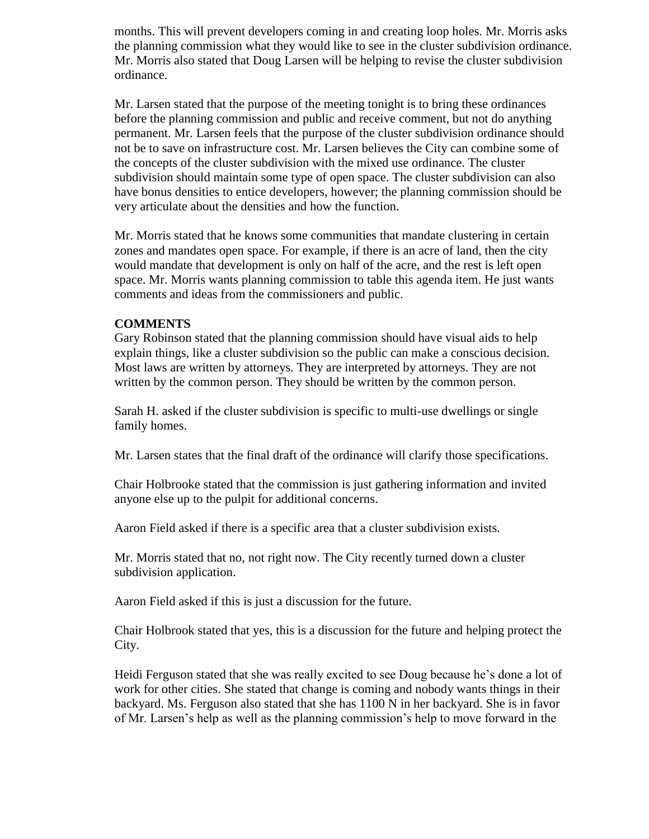months. This will prevent developers coming in and creating loop holes. Mr. Morris asks the planning commission what they would like to see in the cluster subdivision ordinance. Mr. Morris also stated that Doug Larsen will be helping to revise the cluster subdivision ordinance.

Mr. Larsen stated that the purpose of the meeting tonight is to bring these ordinances before the planning commission and public and receive comment, but not do anything permanent. Mr. Larsen feels that the purpose of the cluster subdivision ordinance should not be to save on infrastructure cost. Mr. Larsen believes the City can combine some of the concepts of the cluster subdivision with the mixed use ordinance. The cluster subdivision should maintain some type of open space. The cluster subdivision can also have bonus densities to entice developers, however; the planning commission should be very articulate about the densities and how the function.

Mr. Morris stated that he knows some communities that mandate clustering in certain zones and mandates open space. For example, if there is an acre of land, then the city would mandate that development is only on half of the acre, and the rest is left open space. Mr. Morris wants planning commission to table this agenda item. He just wants comments and ideas from the commissioners and public.

### **COMMENTS**

Gary Robinson stated that the planning commission should have visual aids to help explain things, like a cluster subdivision so the public can make a conscious decision. Most laws are written by attorneys. They are interpreted by attorneys. They are not written by the common person. They should be written by the common person.

Sarah H. asked if the cluster subdivision is specific to multi-use dwellings or single family homes.

Mr. Larsen states that the final draft of the ordinance will clarify those specifications.

Chair Holbrooke stated that the commission is just gathering information and invited anyone else up to the pulpit for additional concerns.

Aaron Field asked if there is a specific area that a cluster subdivision exists.

Mr. Morris stated that no, not right now. The City recently turned down a cluster subdivision application.

Aaron Field asked if this is just a discussion for the future.

Chair Holbrook stated that yes, this is a discussion for the future and helping protect the City.

Heidi Ferguson stated that she was really excited to see Doug because he's done a lot of work for other cities. She stated that change is coming and nobody wants things in their backyard. Ms. Ferguson also stated that she has 1100 N in her backyard. She is in favor of Mr. Larsen's help as well as the planning commission's help to move forward in the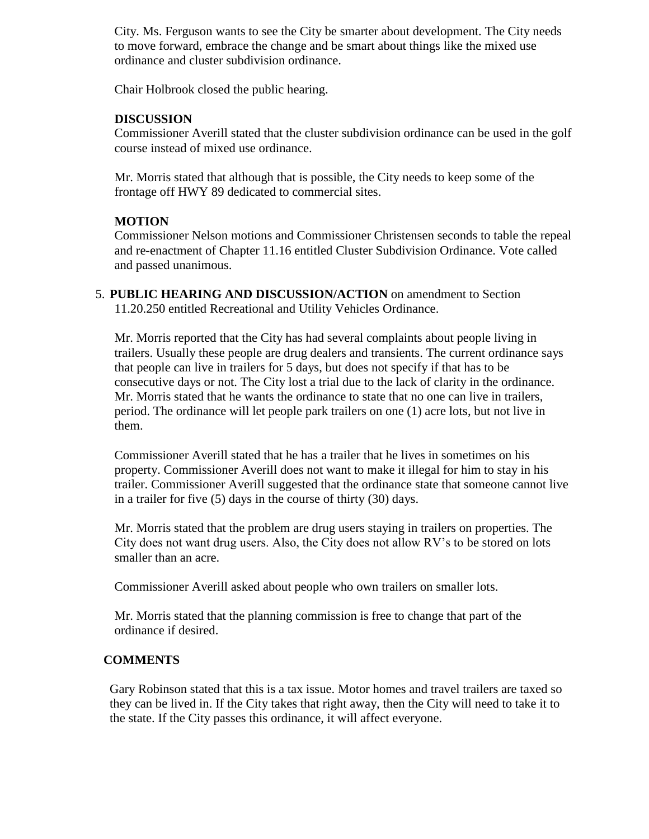City. Ms. Ferguson wants to see the City be smarter about development. The City needs to move forward, embrace the change and be smart about things like the mixed use ordinance and cluster subdivision ordinance.

Chair Holbrook closed the public hearing.

## **DISCUSSION**

Commissioner Averill stated that the cluster subdivision ordinance can be used in the golf course instead of mixed use ordinance.

Mr. Morris stated that although that is possible, the City needs to keep some of the frontage off HWY 89 dedicated to commercial sites.

# **MOTION**

Commissioner Nelson motions and Commissioner Christensen seconds to table the repeal and re-enactment of Chapter 11.16 entitled Cluster Subdivision Ordinance. Vote called and passed unanimous.

5. **PUBLIC HEARING AND DISCUSSION/ACTION** on amendment to Section 11.20.250 entitled Recreational and Utility Vehicles Ordinance.

Mr. Morris reported that the City has had several complaints about people living in trailers. Usually these people are drug dealers and transients. The current ordinance says that people can live in trailers for 5 days, but does not specify if that has to be consecutive days or not. The City lost a trial due to the lack of clarity in the ordinance. Mr. Morris stated that he wants the ordinance to state that no one can live in trailers, period. The ordinance will let people park trailers on one (1) acre lots, but not live in them.

Commissioner Averill stated that he has a trailer that he lives in sometimes on his property. Commissioner Averill does not want to make it illegal for him to stay in his trailer. Commissioner Averill suggested that the ordinance state that someone cannot live in a trailer for five (5) days in the course of thirty (30) days.

Mr. Morris stated that the problem are drug users staying in trailers on properties. The City does not want drug users. Also, the City does not allow RV's to be stored on lots smaller than an acre.

Commissioner Averill asked about people who own trailers on smaller lots.

Mr. Morris stated that the planning commission is free to change that part of the ordinance if desired.

## **COMMENTS**

Gary Robinson stated that this is a tax issue. Motor homes and travel trailers are taxed so they can be lived in. If the City takes that right away, then the City will need to take it to the state. If the City passes this ordinance, it will affect everyone.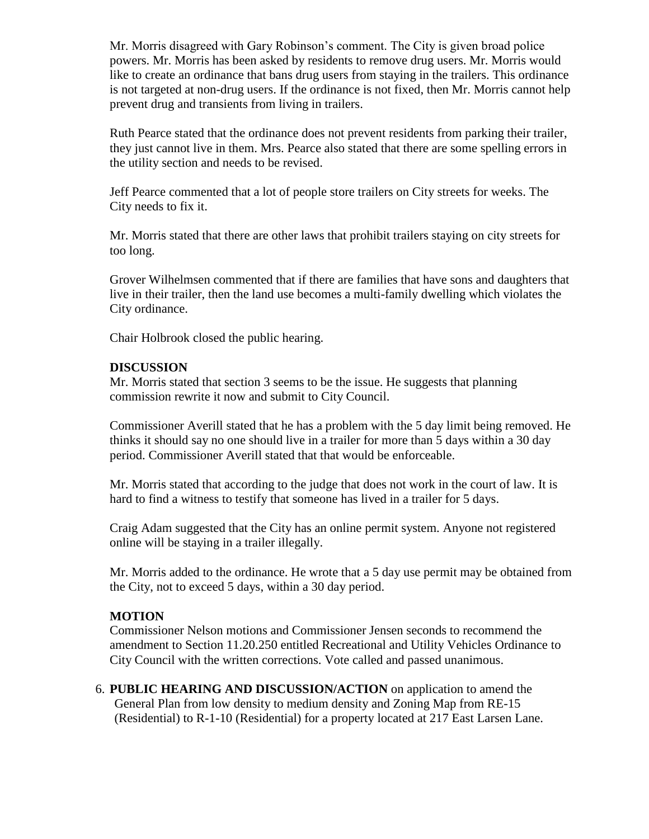Mr. Morris disagreed with Gary Robinson's comment. The City is given broad police powers. Mr. Morris has been asked by residents to remove drug users. Mr. Morris would like to create an ordinance that bans drug users from staying in the trailers. This ordinance is not targeted at non-drug users. If the ordinance is not fixed, then Mr. Morris cannot help prevent drug and transients from living in trailers.

Ruth Pearce stated that the ordinance does not prevent residents from parking their trailer, they just cannot live in them. Mrs. Pearce also stated that there are some spelling errors in the utility section and needs to be revised.

Jeff Pearce commented that a lot of people store trailers on City streets for weeks. The City needs to fix it.

Mr. Morris stated that there are other laws that prohibit trailers staying on city streets for too long.

Grover Wilhelmsen commented that if there are families that have sons and daughters that live in their trailer, then the land use becomes a multi-family dwelling which violates the City ordinance.

Chair Holbrook closed the public hearing.

### **DISCUSSION**

Mr. Morris stated that section 3 seems to be the issue. He suggests that planning commission rewrite it now and submit to City Council.

Commissioner Averill stated that he has a problem with the 5 day limit being removed. He thinks it should say no one should live in a trailer for more than 5 days within a 30 day period. Commissioner Averill stated that that would be enforceable.

Mr. Morris stated that according to the judge that does not work in the court of law. It is hard to find a witness to testify that someone has lived in a trailer for 5 days.

Craig Adam suggested that the City has an online permit system. Anyone not registered online will be staying in a trailer illegally.

Mr. Morris added to the ordinance. He wrote that a 5 day use permit may be obtained from the City, not to exceed 5 days, within a 30 day period.

## **MOTION**

Commissioner Nelson motions and Commissioner Jensen seconds to recommend the amendment to Section 11.20.250 entitled Recreational and Utility Vehicles Ordinance to City Council with the written corrections. Vote called and passed unanimous.

6. **PUBLIC HEARING AND DISCUSSION/ACTION** on application to amend the General Plan from low density to medium density and Zoning Map from RE-15 (Residential) to R-1-10 (Residential) for a property located at 217 East Larsen Lane.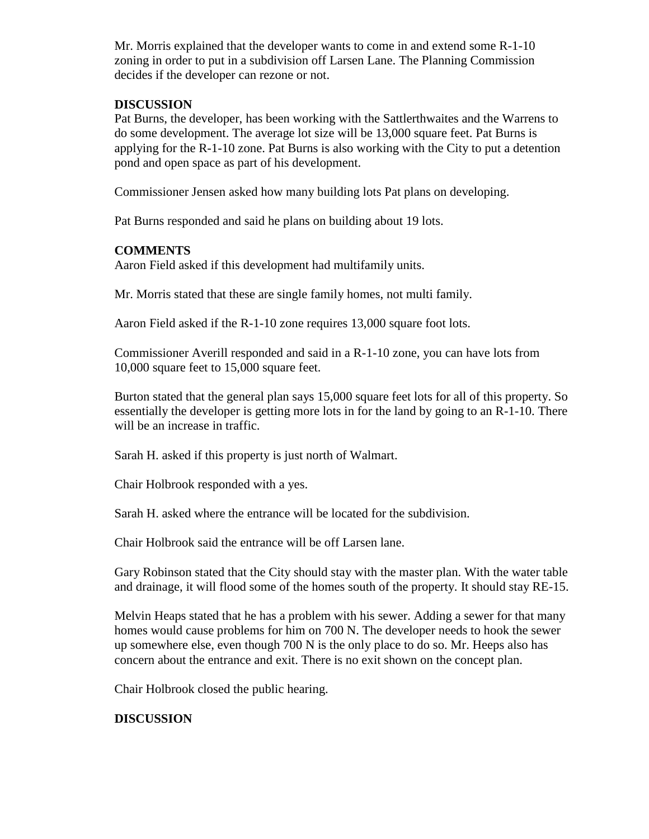Mr. Morris explained that the developer wants to come in and extend some R-1-10 zoning in order to put in a subdivision off Larsen Lane. The Planning Commission decides if the developer can rezone or not.

## **DISCUSSION**

Pat Burns, the developer, has been working with the Sattlerthwaites and the Warrens to do some development. The average lot size will be 13,000 square feet. Pat Burns is applying for the R-1-10 zone. Pat Burns is also working with the City to put a detention pond and open space as part of his development.

Commissioner Jensen asked how many building lots Pat plans on developing.

Pat Burns responded and said he plans on building about 19 lots.

## **COMMENTS**

Aaron Field asked if this development had multifamily units.

Mr. Morris stated that these are single family homes, not multi family.

Aaron Field asked if the R-1-10 zone requires 13,000 square foot lots.

Commissioner Averill responded and said in a R-1-10 zone, you can have lots from 10,000 square feet to 15,000 square feet.

Burton stated that the general plan says 15,000 square feet lots for all of this property. So essentially the developer is getting more lots in for the land by going to an R-1-10. There will be an increase in traffic.

Sarah H. asked if this property is just north of Walmart.

Chair Holbrook responded with a yes.

Sarah H. asked where the entrance will be located for the subdivision.

Chair Holbrook said the entrance will be off Larsen lane.

Gary Robinson stated that the City should stay with the master plan. With the water table and drainage, it will flood some of the homes south of the property. It should stay RE-15.

Melvin Heaps stated that he has a problem with his sewer. Adding a sewer for that many homes would cause problems for him on 700 N. The developer needs to hook the sewer up somewhere else, even though 700 N is the only place to do so. Mr. Heeps also has concern about the entrance and exit. There is no exit shown on the concept plan.

Chair Holbrook closed the public hearing.

## **DISCUSSION**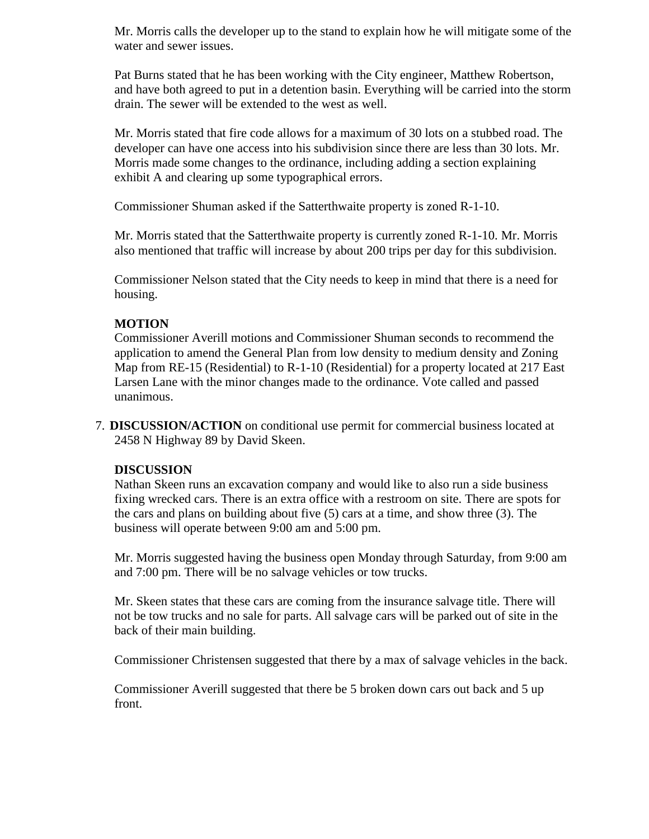Mr. Morris calls the developer up to the stand to explain how he will mitigate some of the water and sewer issues.

Pat Burns stated that he has been working with the City engineer, Matthew Robertson, and have both agreed to put in a detention basin. Everything will be carried into the storm drain. The sewer will be extended to the west as well.

Mr. Morris stated that fire code allows for a maximum of 30 lots on a stubbed road. The developer can have one access into his subdivision since there are less than 30 lots. Mr. Morris made some changes to the ordinance, including adding a section explaining exhibit A and clearing up some typographical errors.

Commissioner Shuman asked if the Satterthwaite property is zoned R-1-10.

Mr. Morris stated that the Satterthwaite property is currently zoned R-1-10. Mr. Morris also mentioned that traffic will increase by about 200 trips per day for this subdivision.

Commissioner Nelson stated that the City needs to keep in mind that there is a need for housing.

## **MOTION**

Commissioner Averill motions and Commissioner Shuman seconds to recommend the application to amend the General Plan from low density to medium density and Zoning Map from RE-15 (Residential) to R-1-10 (Residential) for a property located at 217 East Larsen Lane with the minor changes made to the ordinance. Vote called and passed unanimous.

7. **DISCUSSION/ACTION** on conditional use permit for commercial business located at 2458 N Highway 89 by David Skeen.

## **DISCUSSION**

Nathan Skeen runs an excavation company and would like to also run a side business fixing wrecked cars. There is an extra office with a restroom on site. There are spots for the cars and plans on building about five (5) cars at a time, and show three (3). The business will operate between 9:00 am and 5:00 pm.

Mr. Morris suggested having the business open Monday through Saturday, from 9:00 am and 7:00 pm. There will be no salvage vehicles or tow trucks.

Mr. Skeen states that these cars are coming from the insurance salvage title. There will not be tow trucks and no sale for parts. All salvage cars will be parked out of site in the back of their main building.

Commissioner Christensen suggested that there by a max of salvage vehicles in the back.

Commissioner Averill suggested that there be 5 broken down cars out back and 5 up front.